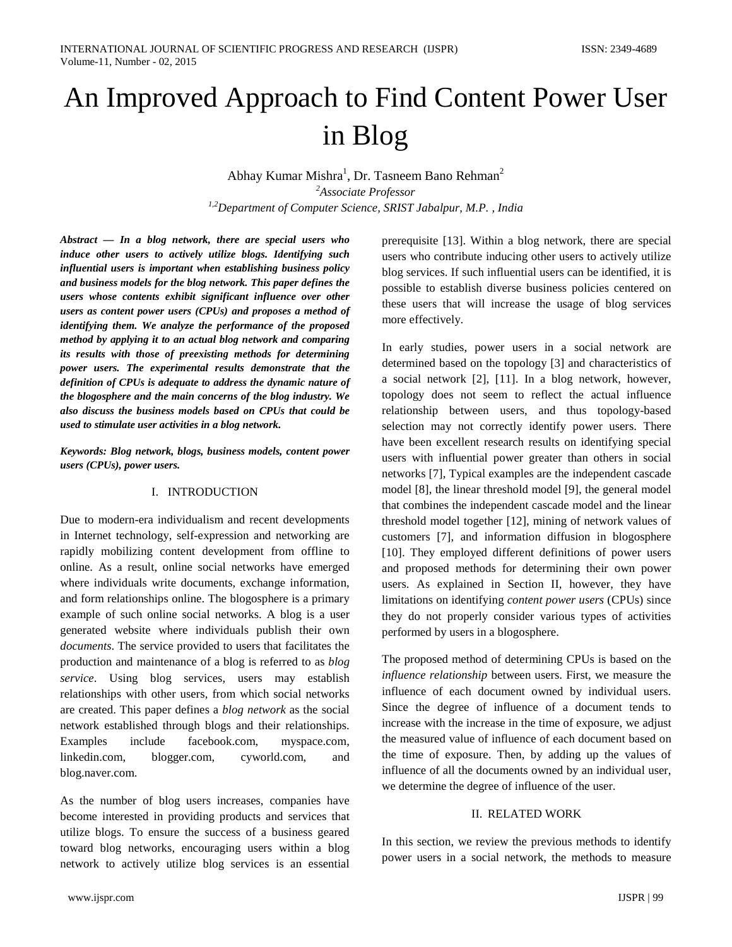# An Improved Approach to Find Content Power User in Blog

Abhay Kumar Mishra<sup>1</sup>, Dr. Tasneem Bano Rehman<sup>2</sup> *2 Associate Professor 1,2Department of Computer Science, SRIST Jabalpur, M.P. , India*

*Abstract — In a blog network, there are special users who induce other users to actively utilize blogs. Identifying such influential users is important when establishing business policy and business models for the blog network. This paper defines the users whose contents exhibit significant influence over other users as content power users (CPUs) and proposes a method of identifying them. We analyze the performance of the proposed method by applying it to an actual blog network and comparing its results with those of preexisting methods for determining power users. The experimental results demonstrate that the definition of CPUs is adequate to address the dynamic nature of the blogosphere and the main concerns of the blog industry. We also discuss the business models based on CPUs that could be used to stimulate user activities in a blog network.*

*Keywords: Blog network, blogs, business models, content power users (CPUs), power users.*

#### I. INTRODUCTION

Due to modern-era individualism and recent developments in Internet technology, self-expression and networking are rapidly mobilizing content development from offline to online. As a result, online social networks have emerged where individuals write documents, exchange information, and form relationships online. The blogosphere is a primary example of such online social networks. A blog is a user generated website where individuals publish their own *documents*. The service provided to users that facilitates the production and maintenance of a blog is referred to as *blog service*. Using blog services, users may establish relationships with other users, from which social networks are created. This paper defines a *blog network* as the social network established through blogs and their relationships. Examples include facebook.com, myspace.com, linkedin.com, blogger.com, cyworld.com, and blog.naver.com.

As the number of blog users increases, companies have become interested in providing products and services that utilize blogs. To ensure the success of a business geared toward blog networks, encouraging users within a blog network to actively utilize blog services is an essential prerequisite [13]. Within a blog network, there are special users who contribute inducing other users to actively utilize blog services. If such influential users can be identified, it is possible to establish diverse business policies centered on these users that will increase the usage of blog services more effectively.

In early studies, power users in a social network are determined based on the topology [3] and characteristics of a social network [2], [11]. In a blog network, however, topology does not seem to reflect the actual influence relationship between users, and thus topology-based selection may not correctly identify power users. There have been excellent research results on identifying special users with influential power greater than others in social networks [7], Typical examples are the independent cascade model [8], the linear threshold model [9], the general model that combines the independent cascade model and the linear threshold model together [12], mining of network values of customers [7], and information diffusion in blogosphere [10]. They employed different definitions of power users and proposed methods for determining their own power users. As explained in Section II, however, they have limitations on identifying *content power users* (CPUs) since they do not properly consider various types of activities performed by users in a blogosphere.

The proposed method of determining CPUs is based on the *influence relationship* between users. First, we measure the influence of each document owned by individual users. Since the degree of influence of a document tends to increase with the increase in the time of exposure, we adjust the measured value of influence of each document based on the time of exposure. Then, by adding up the values of influence of all the documents owned by an individual user, we determine the degree of influence of the user.

#### II. RELATED WORK

In this section, we review the previous methods to identify power users in a social network, the methods to measure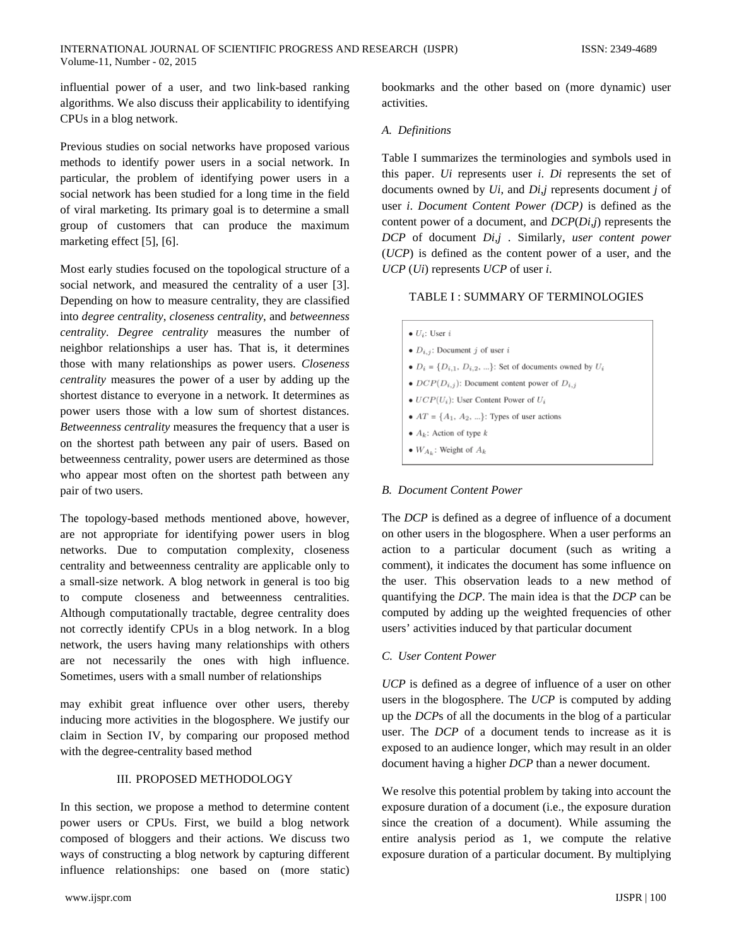influential power of a user, and two link-based ranking algorithms. We also discuss their applicability to identifying CPUs in a blog network.

Previous studies on social networks have proposed various methods to identify power users in a social network. In particular, the problem of identifying power users in a social network has been studied for a long time in the field of viral marketing. Its primary goal is to determine a small group of customers that can produce the maximum marketing effect [5], [6].

Most early studies focused on the topological structure of a social network, and measured the centrality of a user [3]. Depending on how to measure centrality, they are classified into *degree centrality*, *closeness centrality*, and *betweenness centrality*. *Degree centrality* measures the number of neighbor relationships a user has. That is, it determines those with many relationships as power users. *Closeness centrality* measures the power of a user by adding up the shortest distance to everyone in a network. It determines as power users those with a low sum of shortest distances. *Betweenness centrality* measures the frequency that a user is on the shortest path between any pair of users. Based on betweenness centrality, power users are determined as those who appear most often on the shortest path between any pair of two users.

The topology-based methods mentioned above, however, are not appropriate for identifying power users in blog networks. Due to computation complexity, closeness centrality and betweenness centrality are applicable only to a small-size network. A blog network in general is too big to compute closeness and betweenness centralities. Although computationally tractable, degree centrality does not correctly identify CPUs in a blog network. In a blog network, the users having many relationships with others are not necessarily the ones with high influence. Sometimes, users with a small number of relationships

may exhibit great influence over other users, thereby inducing more activities in the blogosphere. We justify our claim in Section IV, by comparing our proposed method with the degree-centrality based method

## III. PROPOSED METHODOLOGY

In this section, we propose a method to determine content power users or CPUs. First, we build a blog network composed of bloggers and their actions. We discuss two ways of constructing a blog network by capturing different influence relationships: one based on (more static)

bookmarks and the other based on (more dynamic) user activities.

## *A. Definitions*

Table I summarizes the terminologies and symbols used in this paper. *Ui* represents user *i*. *Di* represents the set of documents owned by *Ui*, and *Di,j* represents document *j* of user *i*. *Document Content Power (DCP)* is defined as the content power of a document, and *DCP*(*Di,j*) represents the *DCP* of document *Di,j* . Similarly, *user content power*  (*UCP*) is defined as the content power of a user, and the *UCP* (*Ui*) represents *UCP* of user *i*.

#### TABLE I : SUMMARY OF TERMINOLOGIES

| $\bullet U_i$ : User i                                                   |
|--------------------------------------------------------------------------|
| • $D_{i,j}$ : Document j of user i                                       |
| • $D_i = \{D_{i,1}, D_{i,2}, \ldots\}$ : Set of documents owned by $U_i$ |
| • $DCP(D_{i,j})$ : Document content power of $D_{i,j}$                   |
| • $UCP(U_i)$ : User Content Power of $U_i$                               |
| • $AT = \{A_1, A_2, \}$ : Types of user actions                          |
| • $A_k$ : Action of type k                                               |
| • $W_{A_k}$ : Weight of $A_k$                                            |

## *B. Document Content Power*

The *DCP* is defined as a degree of influence of a document on other users in the blogosphere. When a user performs an action to a particular document (such as writing a comment), it indicates the document has some influence on the user. This observation leads to a new method of quantifying the *DCP*. The main idea is that the *DCP* can be computed by adding up the weighted frequencies of other users' activities induced by that particular document

## *C. User Content Power*

*UCP* is defined as a degree of influence of a user on other users in the blogosphere. The *UCP* is computed by adding up the *DCP*s of all the documents in the blog of a particular user. The *DCP* of a document tends to increase as it is exposed to an audience longer, which may result in an older document having a higher *DCP* than a newer document.

We resolve this potential problem by taking into account the exposure duration of a document (i.e., the exposure duration since the creation of a document). While assuming the entire analysis period as 1, we compute the relative exposure duration of a particular document. By multiplying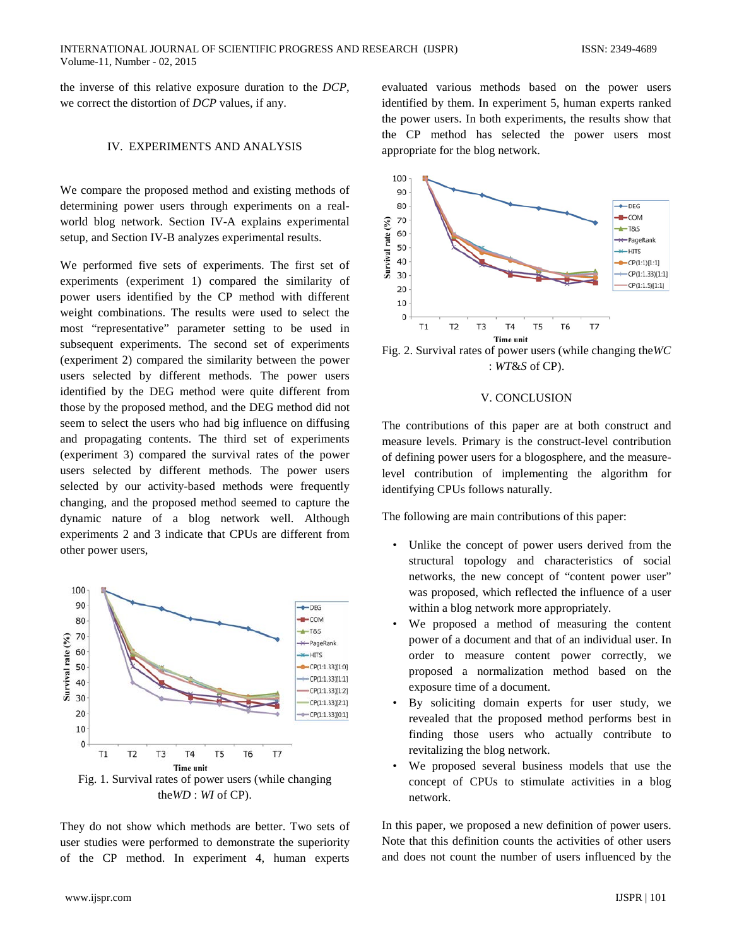the inverse of this relative exposure duration to the *DCP*, we correct the distortion of *DCP* values, if any.

# IV. EXPERIMENTS AND ANALYSIS

We compare the proposed method and existing methods of determining power users through experiments on a realworld blog network. Section IV-A explains experimental setup, and Section IV-B analyzes experimental results.

We performed five sets of experiments. The first set of experiments (experiment 1) compared the similarity of power users identified by the CP method with different weight combinations. The results were used to select the most "representative" parameter setting to be used in subsequent experiments. The second set of experiments (experiment 2) compared the similarity between the power users selected by different methods. The power users identified by the DEG method were quite different from those by the proposed method, and the DEG method did not seem to select the users who had big influence on diffusing and propagating contents. The third set of experiments (experiment 3) compared the survival rates of the power users selected by different methods. The power users selected by our activity-based methods were frequently changing, and the proposed method seemed to capture the dynamic nature of a blog network well. Although experiments 2 and 3 indicate that CPUs are different from other power users,



They do not show which methods are better. Two sets of user studies were performed to demonstrate the superiority of the CP method. In experiment 4, human experts

evaluated various methods based on the power users identified by them. In experiment 5, human experts ranked the power users. In both experiments, the results show that the CP method has selected the power users most appropriate for the blog network.



Fig. 2. Survival rates of power users (while changing the*WC*  : *WT*&*S* of CP).

#### V. CONCLUSION

The contributions of this paper are at both construct and measure levels. Primary is the construct-level contribution of defining power users for a blogosphere, and the measurelevel contribution of implementing the algorithm for identifying CPUs follows naturally.

The following are main contributions of this paper:

- Unlike the concept of power users derived from the structural topology and characteristics of social networks, the new concept of "content power user" was proposed, which reflected the influence of a user within a blog network more appropriately.
- We proposed a method of measuring the content power of a document and that of an individual user. In order to measure content power correctly, we proposed a normalization method based on the exposure time of a document.
- By soliciting domain experts for user study, we revealed that the proposed method performs best in finding those users who actually contribute to revitalizing the blog network.
- We proposed several business models that use the concept of CPUs to stimulate activities in a blog network.

In this paper, we proposed a new definition of power users. Note that this definition counts the activities of other users and does not count the number of users influenced by the